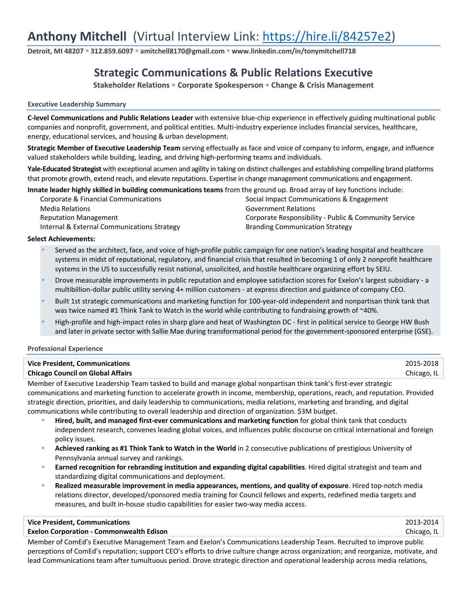# **Anthony Mitchell** (Virtual Interview Link: https://hire.li/84257e2)

**Detroit, MI 48207** § **312.859.6097** § **amitchell8170@gmail.com** § **www.linkedin.com/in/tonymitchell718**

## **Strategic Communications & Public Relations Executive**

**Stakeholder Relations • Corporate Spokesperson • Change & Crisis Management**

#### **Executive Leadership Summary**

**C-level Communications and Public Relations Leader** with extensive blue-chip experience in effectively guiding multinational public companies and nonprofit, government, and political entities. Multi-industry experience includes financial services, healthcare, energy, educational services, and housing & urban development.

**Strategic Member of Executive Leadership Team** serving effectually as face and voice of company to inform, engage, and influence valued stakeholders while building, leading, and driving high-performing teams and individuals.

**Yale-Educated Strategist** with exceptional acumen and agility in taking on distinct challenges and establishing compelling brand platforms that promote growth, extend reach, and elevate reputations. Expertise in change management communications and engagement.

**Innate leader highly skilled in building communications teams** from the ground up. Broad array of key functions include:

| Corporate & Financial Communications        | Social Impact Communications & Engagement     |  |
|---------------------------------------------|-----------------------------------------------|--|
| Media Relations                             | <b>Government Relations</b>                   |  |
| <b>Reputation Management</b>                | Corporate Responsibility - Public & Community |  |
| Internal & External Communications Strategy | <b>Branding Communication Strategy</b>        |  |

ent Relations e Responsibility - Public & Community Service

#### **Select Achievements:**

- Served as the architect, face, and voice of high-profile public campaign for one nation's leading hospital and healthcare systems in midst of reputational, regulatory, and financial crisis that resulted in becoming 1 of only 2 nonprofit healthcare systems in the US to successfully resist national, unsolicited, and hostile healthcare organizing effort by SEIU.
- § Drove measurable improvements in public reputation and employee satisfaction scores for Exelon's largest subsidiary a multibillion-dollar public utility serving 4+ million customers - at express direction and guidance of company CEO.
- Built 1st strategic communications and marketing function for 100-year-old independent and nonpartisan think tank that was twice named #1 Think Tank to Watch in the world while contributing to fundraising growth of ~40%.
- High-profile and high-impact roles in sharp glare and heat of Washington DC first in political service to George HW Bush and later in private sector with Sallie Mae during transformational period for the government-sponsored enterprise (GSE).

#### **Professional Experience**

| <b>Vice President, Communications</b>    | 2015-2018   |
|------------------------------------------|-------------|
| <b>Chicago Council on Global Affairs</b> | Chicago, IL |

Member of Executive Leadership Team tasked to build and manage global nonpartisan think tank's first-ever strategic

communications and marketing function to accelerate growth in income, membership, operations, reach, and reputation. Provided strategic direction, priorities, and daily leadership to communications, media relations, marketing and branding, and digital communications while contributing to overall leadership and direction of organization. \$3M budget.

- § **Hired, built, and managed first-ever communications and marketing function** for global think tank that conducts independent research, convenes leading global voices, and influences public discourse on critical international and foreign policy issues.
- § **Achieved ranking as #1 Think Tank to Watch in the World** in 2 consecutive publications of prestigious University of Pennsylvania annual survey and rankings.
- **Earned recognition for rebranding institution and expanding digital capabilities**. Hired digital strategist and team and standardizing digital communications and deployment.
- § **Realized measurable improvement in media appearances, mentions, and quality of exposure**. Hired top-notch media relations director, developed/sponsored media training for Council fellows and experts, redefined media targets and measures, and built in-house studio capabilities for easier two-way media access.

#### **Vice President, Communications** 2013-2014

#### **Exelon Corporation - Commonwealth Edison** Chicago, IL

Member of ComEd's Executive Management Team and Exelon's Communications Leadership Team. Recruited to improve public perceptions of ComEd's reputation; support CEO's efforts to drive culture change across organization; and reorganize, motivate, and lead Communications team after tumultuous period. Drove strategic direction and operational leadership across media relations,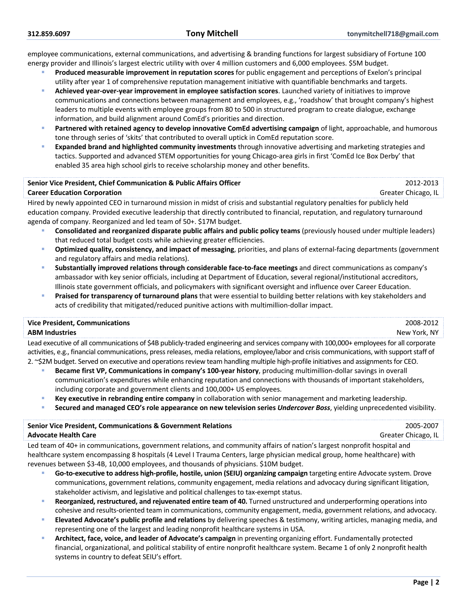employee communications, external communications, and advertising & branding functions for largest subsidiary of Fortune 100 energy provider and Illinois's largest electric utility with over 4 million customers and 6,000 employees. \$5M budget.

- § **Produced measurable improvement in reputation scores** for public engagement and perceptions of Exelon's principal utility after year 1 of comprehensive reputation management initiative with quantifiable benchmarks and targets.
- § **Achieved year-over-year improvement in employee satisfaction scores**. Launched variety of initiatives to improve communications and connections between management and employees, e.g., 'roadshow' that brought company's highest leaders to multiple events with employee groups from 80 to 500 in structured program to create dialogue, exchange information, and build alignment around ComEd's priorities and direction.
- § **Partnered with retained agency to develop innovative ComEd advertising campaign** of light, approachable, and humorous tone through series of 'skits' that contributed to overall uptick in ComEd reputation score.
- § **Expanded brand and highlighted community investments** through innovative advertising and marketing strategies and tactics. Supported and advanced STEM opportunities for young Chicago-area girls in first 'ComEd Ice Box Derby' that enabled 35 area high school girls to receive scholarship money and other benefits.

#### **Senior Vice President, Chief Communication & Public Affairs Officer** 2012-2013

**Career Education Corporation Community Career Education** Greater Chicago, IL

Hired by newly appointed CEO in turnaround mission in midst of crisis and substantial regulatory penalties for publicly held education company. Provided executive leadership that directly contributed to financial, reputation, and regulatory turnaround agenda of company. Reorganized and led team of 50+. \$17M budget.

- § **Consolidated and reorganized disparate public affairs and public policy teams** (previously housed under multiple leaders) that reduced total budget costs while achieving greater efficiencies.
- § **Optimized quality, consistency, and impact of messaging**, priorities, and plans of external-facing departments (government and regulatory affairs and media relations).
- § **Substantially improved relations through considerable face-to-face meetings** and direct communications as company's ambassador with key senior officials, including at Department of Education, several regional/institutional accreditors, Illinois state government officials, and policymakers with significant oversight and influence over Career Education.
- § **Praised for transparency of turnaround plans** that were essential to building better relations with key stakeholders and acts of credibility that mitigated/reduced punitive actions with multimillion-dollar impact.

### **Vice President, Communications** 2008-2012

#### **ABM Industries** New York, NY

Lead executive of all communications of \$4B publicly-traded engineering and services company with 100,000+ employees for all corporate activities, e.g., financial communications, press releases, media relations, employee/labor and crisis communications, with support staff of 2. ~\$2M budget. Served on executive and operations review team handling multiple high-profile initiatives and assignments for CEO.

- § **Became first VP, Communications in company's 100-year history**, producing multimillion-dollar savings in overall communication's expenditures while enhancing reputation and connections with thousands of important stakeholders, including corporate and government clients and 100,000+ US employees.
- § **Key executive in rebranding entire company** in collaboration with senior management and marketing leadership.
- § **Secured and managed CEO's role appearance on new television series** *Undercover Boss*, yielding unprecedented visibility.

| <b>Senior Vice President, Communications &amp; Government Relations</b>                                                  | 2005-2007           |  |
|--------------------------------------------------------------------------------------------------------------------------|---------------------|--|
| <b>Advocate Health Care</b>                                                                                              | Greater Chicago, IL |  |
| Led teges of 10 in communications, coverage tralations, and community offeirs of pation's largest nonorafit hospital and |                     |  |

Led team of 40+ in communications, government relations, and community affairs of nation's largest nonprofit hospital and healthcare system encompassing 8 hospitals (4 Level I Trauma Centers, large physician medical group, home healthcare) with revenues between \$3-4B, 10,000 employees, and thousands of physicians. \$10M budget.

- § **Go-to-executive to address high-profile, hostile, union (SEIU) organizing campaign** targeting entire Advocate system. Drove communications, government relations, community engagement, media relations and advocacy during significant litigation, stakeholder activism, and legislative and political challenges to tax-exempt status.
- § **Reorganized, restructured, and rejuvenated entire team of 40.** Turned unstructured and underperforming operations into cohesive and results-oriented team in communications, community engagement, media, government relations, and advocacy.
- § **Elevated Advocate's public profile and relations** by delivering speeches & testimony, writing articles, managing media, and representing one of the largest and leading nonprofit healthcare systems in USA.
- § **Architect, face, voice, and leader of Advocate's campaign** in preventing organizing effort. Fundamentally protected financial, organizational, and political stability of entire nonprofit healthcare system. Became 1 of only 2 nonprofit health systems in country to defeat SEIU's effort.